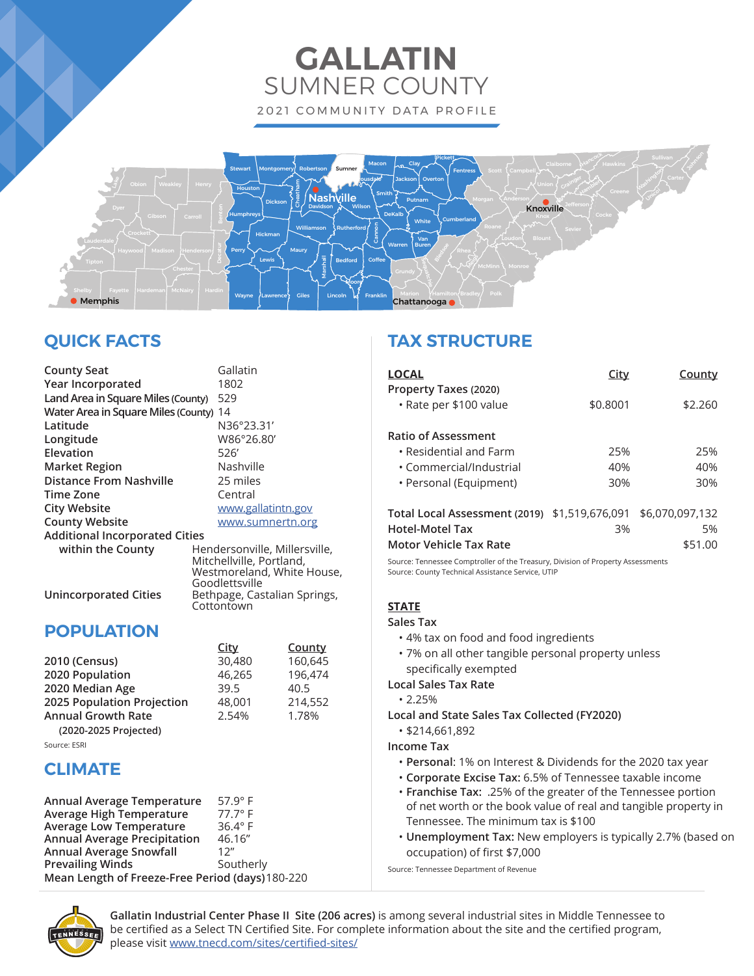# **GALLATIN** SUMNER COUNTY 2021 COMMUNITY DATA PROFILE



# **QUICK FACTS**

| <b>County Seat</b>                     | Gallatin                                                  |
|----------------------------------------|-----------------------------------------------------------|
| Year Incorporated                      | 1802                                                      |
| Land Area in Square Miles (County)     | 529                                                       |
| Water Area in Square Miles (County) 14 |                                                           |
| Latitude                               | N36°23.31'                                                |
| Longitude                              | W86°26.80'                                                |
| Elevation                              | 526                                                       |
| <b>Market Region</b>                   | Nashville                                                 |
| <b>Distance From Nashville</b>         | 25 miles                                                  |
| Time Zone                              | Central                                                   |
| <b>City Website</b>                    | www.gallatintn.gov                                        |
| <b>County Website</b>                  | www.sumnertn.org                                          |
| <b>Additional Incorporated Cities</b>  |                                                           |
| within the County                      | Hendersonville, Millersville,<br>Mitchellville, Portland, |
|                                        | Westmoreland, White House,<br>Goodlettsville              |
|                                        |                                                           |

**Unincorporated Cities** Bethpage, Castalian Springs,

## **POPULATION**

|                            | <u>City</u> | <b>County</b> |
|----------------------------|-------------|---------------|
| 2010 (Census)              | 30,480      | 160,645       |
| 2020 Population            | 46,265      | 196,474       |
| 2020 Median Age            | 39.5        | 40.5          |
| 2025 Population Projection | 48,001      | 214,552       |
| <b>Annual Growth Rate</b>  | 2.54%       | 1.78%         |
| (2020-2025 Projected)      |             |               |
|                            |             |               |

Cottontown

Source: ESRI

## **CLIMATE**

| Annual Average Temperature                       | $57.9^\circ$ F |
|--------------------------------------------------|----------------|
| Average High Temperature                         | $77.7^\circ$ F |
| <b>Average Low Temperature</b>                   | $36.4^\circ$ F |
| <b>Annual Average Precipitation</b>              | 46.16"         |
| <b>Annual Average Snowfall</b>                   | 12"            |
| <b>Prevailing Winds</b>                          | Southerly      |
| Mean Length of Freeze-Free Period (days) 180-220 |                |

# **TAX STRUCTURE**

| <b>LOCAL</b>                                    | <u>City</u> | County          |
|-------------------------------------------------|-------------|-----------------|
| Property Taxes (2020)<br>• Rate per \$100 value | \$0.8001    | \$2.260         |
| <b>Ratio of Assessment</b>                      |             |                 |
| • Residential and Farm                          | 25%         | 25%             |
| • Commercial/Industrial                         | 40%         | 40%             |
| • Personal (Equipment)                          | 30%         | 30%             |
| Total Local Assessment (2019) \$1,519,676,091   |             | \$6,070,097,132 |
| <b>Hotel-Motel Tax</b>                          | 3%          | 5%              |
| <b>Motor Vehicle Tax Rate</b>                   |             | \$51.00         |

Source: Tennessee Comptroller of the Treasury, Division of Property Assessments Source: County Technical Assistance Service, UTIP

## **STATE**

**Sales Tax** 

- 4% tax on food and food ingredients
- 7% on all other tangible personal property unless specifically exempted

**Local Sales Tax Rate**

• 2.25%

**Local and State Sales Tax Collected (FY2020)**

• \$214,661,892

**Income Tax**

- **Personal**: 1% on Interest & Dividends for the 2020 tax year
- **Corporate Excise Tax:** 6.5% of Tennessee taxable income
- **Franchise Tax:** .25% of the greater of the Tennessee portion of net worth or the book value of real and tangible property in Tennessee. The minimum tax is \$100
- **Unemployment Tax:** New employers is typically 2.7% (based on occupation) of first \$7,000

Source: Tennessee Department of Revenue



**Gallatin Industrial Center Phase II Site (206 acres)** is among several industrial sites in Middle Tennessee to be certified as a Select TN Certified Site. For complete information about the site and the certified program, please visit www.tnecd.com/sites/certified-sites/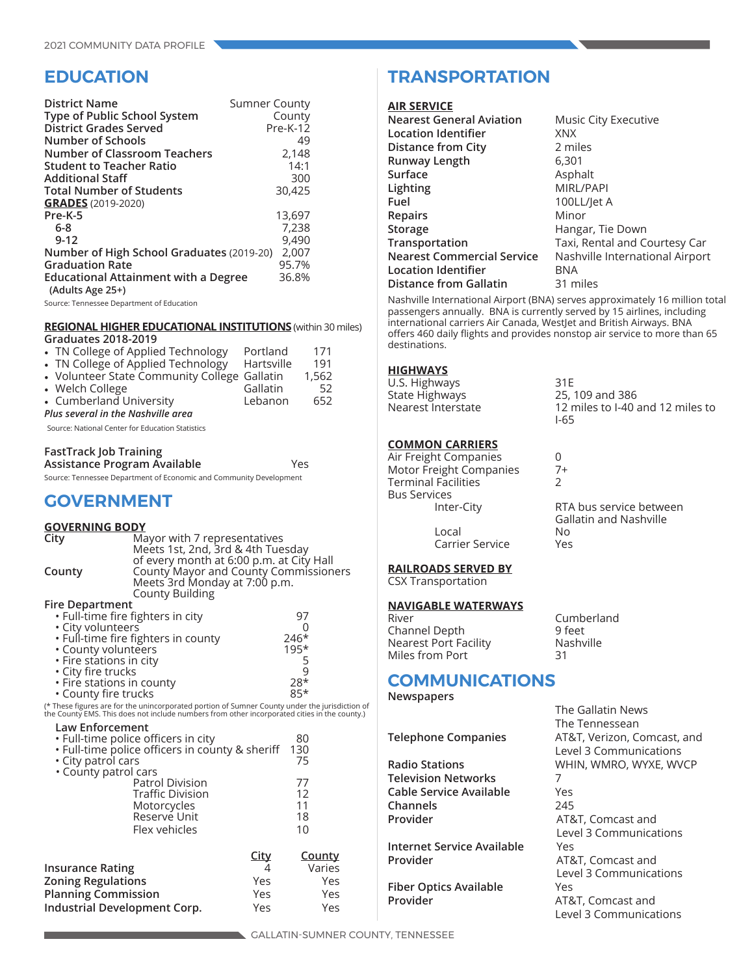## **EDUCATION**

| <b>District Name</b><br>Type of Public School System<br>District Grades Served<br>Number of Schools<br>Number of Classroom Teachers<br><b>Student to Teacher Ratio</b><br><b>Additional Staff</b><br><b>Total Number of Students</b><br><b>GRADES</b> (2019-2020) | <b>Sumner County</b><br>County<br><b>Pre-K-12</b><br>49<br>2,148<br>14:1<br>300<br>30,425 |
|-------------------------------------------------------------------------------------------------------------------------------------------------------------------------------------------------------------------------------------------------------------------|-------------------------------------------------------------------------------------------|
| Pre-K-5<br>$6-8$<br>$9 - 12$<br>Number of High School Graduates (2019-20)<br><b>Graduation Rate</b><br><b>Educational Attainment with a Degree</b><br>(Adults Age 25+)                                                                                            | 13,697<br>7,238<br>9,490<br>2,007<br>95.7%<br>36.8%                                       |

Source: Tennessee Department of Education

#### **REGIONAL HIGHER EDUCATIONAL INSTITUTIONS** (within 30 miles) **Graduates 2018-2019**

| • TN College of Applied Technology           | Portland   | 171   |
|----------------------------------------------|------------|-------|
| • TN College of Applied Technology           | Hartsville | 191   |
| • Volunteer State Community College Gallatin |            | 1,562 |
| • Welch College                              | Gallatin   | 52    |
| • Cumberland University                      | Lebanon    | 652   |
| Plus several in the Nashville area           |            |       |

Source: National Center for Education Statistics

| <b>FastTrack Job Training</b> |     |
|-------------------------------|-----|
| Assistance Program Available  | Yes |
|                               |     |

Source: Tennessee Department of Economic and Community Development

## **GOVERNMENT**

### **GOVERNING BODY**

| <u>UUVENNINU DUDT</u>             |                                                                                                                                                                                                |             |               |  |
|-----------------------------------|------------------------------------------------------------------------------------------------------------------------------------------------------------------------------------------------|-------------|---------------|--|
| City                              | Mayor with 7 representatives                                                                                                                                                                   |             |               |  |
|                                   | Meets 1st, 2nd, 3rd & 4th Tuesday                                                                                                                                                              |             |               |  |
|                                   | of every month at 6:00 p.m. at City Hall                                                                                                                                                       |             |               |  |
| County                            | <b>County Mayor and County Commissioners</b>                                                                                                                                                   |             |               |  |
|                                   | Meets 3rd Monday at 7:00 p.m.                                                                                                                                                                  |             |               |  |
|                                   | <b>County Building</b>                                                                                                                                                                         |             |               |  |
| <b>Fire Department</b>            |                                                                                                                                                                                                |             |               |  |
| · Full-time fire fighters in city |                                                                                                                                                                                                |             | 97            |  |
| • City volunteers                 |                                                                                                                                                                                                |             | 0             |  |
|                                   | • Full-time fire fighters in county                                                                                                                                                            |             | $246*$        |  |
| • County volunteers               |                                                                                                                                                                                                |             | $195*$        |  |
| • Fire stations in city           |                                                                                                                                                                                                |             | $\frac{5}{9}$ |  |
| • City fire trucks                |                                                                                                                                                                                                |             |               |  |
| • Fire stations in county         |                                                                                                                                                                                                |             | $28*$         |  |
| • County fire trucks              |                                                                                                                                                                                                |             | $85*$         |  |
|                                   | (* These figures are for the unincorporated portion of Sumner County under the jurisdiction of<br>the County EMS. This does not include numbers from other incorporated cities in the county.) |             |               |  |
| <b>Law Enforcement</b>            |                                                                                                                                                                                                |             |               |  |
|                                   | • Full-time police officers in city                                                                                                                                                            |             | 80            |  |
|                                   | . Full-time police officers in county & sheriff                                                                                                                                                |             | 130           |  |
| • City patrol cars                |                                                                                                                                                                                                |             | 75            |  |
| • County patrol cars              |                                                                                                                                                                                                |             |               |  |
|                                   | <b>Patrol Division</b>                                                                                                                                                                         |             | 77            |  |
|                                   | <b>Traffic Division</b>                                                                                                                                                                        |             | 12            |  |
|                                   | Motorcycles                                                                                                                                                                                    |             | 11            |  |
|                                   | Reserve Unit                                                                                                                                                                                   |             | 18            |  |
|                                   | Flex vehicles                                                                                                                                                                                  |             | 10            |  |
|                                   |                                                                                                                                                                                                | <u>City</u> | <u>County</u> |  |
| <b>Insurance Rating</b>           |                                                                                                                                                                                                | 4           | Varies        |  |
| <b>Zoning Regulations</b>         |                                                                                                                                                                                                | Yes         | Yes           |  |
| <b>Planning Commission</b>        |                                                                                                                                                                                                |             | Yes           |  |
|                                   |                                                                                                                                                                                                | Yes         |               |  |
| Industrial Development Corp.      |                                                                                                                                                                                                | Yes         | Yes           |  |

## **TRANSPORTATION**

#### **AIR SERVICE**

| <b>Nearest General Aviation</b> | Music City Executive            |
|---------------------------------|---------------------------------|
| <b>Location Identifier</b>      | <b>XNX</b>                      |
| <b>Distance from City</b>       | 2 miles                         |
| Runway Length                   | 6,301                           |
| Surface                         | Asphalt                         |
| Lighting                        | MIRL/PAPI                       |
| Fuel                            | 100LL/let A                     |
| Repairs                         | Minor                           |
| Storage                         | Hangar, Tie Down                |
| Transportation                  | Taxi, Rental and Courtesy Car   |
| Nearest Commercial Service      | Nashville International Airport |
| <b>Location Identifier</b>      | BNA                             |
| Distance from Gallatin          | 31 miles                        |
|                                 |                                 |

Nashville International Airport (BNA) serves approximately 16 million total passengers annually. BNA is currently served by 15 airlines, including international carriers Air Canada, WestJet and British Airways. BNA offers 460 daily flights and provides nonstop air service to more than 65 destinations.

#### **HIGHWAYS**

U.S. Highways 31E<br>State Highways 25, State Highways 25, 109 and 386<br>Nearest Interstate 12 miles to I-40

#### **COMMON CARRIERS**

| Air Freight Companies      |    |
|----------------------------|----|
| Motor Freight Companies    | 7+ |
| <b>Terminal Facilities</b> | 2  |
| <b>Bus Services</b>        |    |
| Inter-City                 | RT |
|                            |    |

Local No Carrier Service

#### **RAILROADS SERVED BY** CSX Transportation

#### **NAVIGABLE WATERWAYS**

River Cumberland Channel Depth 9 feet Nearest Port Facility Miles from Port 31

## **COMMUNICATIONS**

```
Newspapers
```
**Telephone Companies** 

**Radio Stations** WHIN, WHIN, WHIN, WHIN, WHIN, WHITN, WHITN, WHITN, WHITN, WHITN, WHITN, WHITN, WHITN, WHITN, WHITN, WHITN, WHITN, WHITN, WHITN, WHITN, WHITN, WHITN, WHITN, WHITN, WHITN, WHITN, WHITN, WHITN, WHITN, WHITN, **Television Networks Cable Service Available Channels Provider** 

**Internet Service Available Provider** 

**Fiber Optics Available Provider** AT&T, Comparent and AT&T, Comparent and AT&T, Comparent and AT&T, Comparent and AT&T, Comparent and A

12 miles to I-40 and 12 miles to I-65

RTA bus service between Gallatin and Nashville

| The Gallatin News<br>The Tennessean<br>AT&T, Verizon, Comcast, and<br>Level 3 Communications |
|----------------------------------------------------------------------------------------------|
| WHIN, WMRO, WYXE, WVCP                                                                       |
| 7<br>Yes                                                                                     |
| 245                                                                                          |
| AT&T, Comcast and                                                                            |
| Level 3 Communications<br>Yes                                                                |
| AT&T, Comcast and                                                                            |
| Level 3 Communications                                                                       |
| Yes                                                                                          |
| AT&T, Comcast and<br>Level 3 Communications                                                  |
|                                                                                              |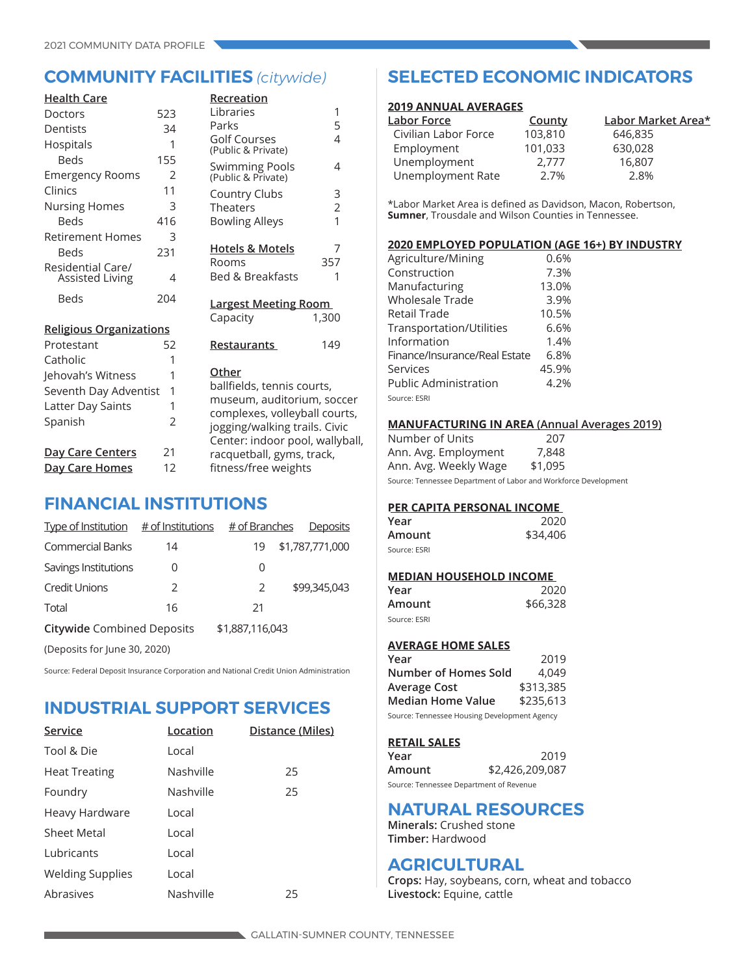| <b>Health Care</b>             |                | Recreation                                                                                        |                |
|--------------------------------|----------------|---------------------------------------------------------------------------------------------------|----------------|
| Doctors                        | 523            | Libraries                                                                                         | 1              |
| Dentists                       | 34             | Parks                                                                                             | 5              |
| Hospitals                      | 1              | <b>Golf Courses</b><br>(Public & Private)                                                         | $\overline{4}$ |
| <b>Beds</b>                    | 155            |                                                                                                   | $\overline{4}$ |
| <b>Emergency Rooms</b>         | $\overline{2}$ | Swimming Pools<br>(Public & Private)                                                              |                |
| Clinics                        | 11             | Country Clubs                                                                                     | 3              |
| <b>Nursing Homes</b>           | 3              | Theaters                                                                                          | $\overline{2}$ |
| <b>Beds</b>                    | 416            | <b>Bowling Alleys</b>                                                                             | 1              |
| Retirement Homes               | 3              |                                                                                                   |                |
| <b>Beds</b>                    | 231            | <b>Hotels &amp; Motels</b>                                                                        | $\overline{7}$ |
| Residential Care/              |                | Rooms                                                                                             | 357            |
| <b>Assisted Living</b>         | 4              | <b>Bed &amp; Breakfasts</b>                                                                       | 1              |
| <b>Beds</b>                    | 204            | <b>Largest Meeting Room</b>                                                                       | 1,300          |
| <b>Religious Organizations</b> |                | Capacity                                                                                          |                |
| Protestant                     | 52             | Restaurants                                                                                       | 149            |
| Catholic                       | 1              |                                                                                                   |                |
| Jehovah's Witness              | 1              | Other                                                                                             |                |
| Seventh Day Adventist          | 1              | ballfields, tennis courts,                                                                        |                |
| Latter Day Saints              | 1              | museum, auditorium, soccer                                                                        |                |
| Spanish                        | 2              | complexes, volleyball courts,<br>jogging/walking trails. Civic<br>Center: indoor pool, wallyball, |                |
| <u>Day Care Centers</u>        | 21             | racquetball, gyms, track,                                                                         |                |
| Day Care Homes                 | 12             | fitness/free weights                                                                              |                |
|                                |                |                                                                                                   |                |

## **FINANCIAL INSTITUTIONS**

| Type of Institution $#$ of Institutions |               | # of Branches   | Deposits        |
|-----------------------------------------|---------------|-----------------|-----------------|
| <b>Commercial Banks</b>                 | 14            | 19              | \$1,787,771,000 |
| Savings Institutions                    | O             | 0               |                 |
| <b>Credit Unions</b>                    | $\mathcal{L}$ | 2               | \$99,345,043    |
| Total                                   | 16            | 21              |                 |
| <b>Citywide Combined Deposits</b>       |               | \$1,887,116,043 |                 |
| (Deposits for June 30, 2020)            |               |                 |                 |

Source: Federal Deposit Insurance Corporation and National Credit Union Administration

## **INDUSTRIAL SUPPORT SERVICES**

| Service                 | Location  | Distance (Miles) |
|-------------------------|-----------|------------------|
| Tool & Die              | Local     |                  |
| <b>Heat Treating</b>    | Nashville | 25               |
| Foundry                 | Nashville | 25               |
| Heavy Hardware          | Local     |                  |
| <b>Sheet Metal</b>      | Local     |                  |
| <b>Lubricants</b>       | Local     |                  |
| <b>Welding Supplies</b> | Local     |                  |
| Abrasives               | Nashville | 25               |

## **COMMUNITY FACILITIES** *(citywide)* **SELECTED ECONOMIC INDICATORS**

#### **2019 ANNUAL AVERAGES**

| County  | Labor Market Area* |
|---------|--------------------|
| 103,810 | 646,835            |
| 101,033 | 630,028            |
| 2.777   | 16,807             |
| 2.7%    | 2.8%               |
|         |                    |

\*Labor Market Area is defined as Davidson, Macon, Robertson, **Sumner**, Trousdale and Wilson Counties in Tennessee.

#### **2020 EMPLOYED POPULATION (AGE 16+) BY INDUSTRY**

| Agriculture/Mining            | 0.6%  |
|-------------------------------|-------|
| Construction                  | 7.3%  |
| Manufacturing                 | 13.0% |
| Wholesale Trade               | 3.9%  |
| Retail Trade                  | 10.5% |
| Transportation/Utilities      | 6.6%  |
| Information                   | 1.4%  |
| Finance/Insurance/Real Estate | 6.8%  |
| Services                      | 45.9% |
| <b>Public Administration</b>  | 4.2%  |
| Source: ESRI                  |       |

#### **MANUFACTURING IN AREA (Annual Averages 2019)**

| Number of Units       | 207     |
|-----------------------|---------|
| Ann. Avg. Employment  | 7,848   |
| Ann. Avg. Weekly Wage | \$1,095 |
|                       |         |

Source: Tennessee Department of Labor and Workforce Development

### **PER CAPITA PERSONAL INCOME**

| Year         | 2020     |
|--------------|----------|
| Amount       | \$34,406 |
| Source: ESRI |          |

#### **MEDIAN HOUSEHOLD INCOME**

| Year         | 2020     |
|--------------|----------|
| Amount       | \$66,328 |
| Source: ESRI |          |

#### **AVERAGE HOME SALES**

| Year                                         | 2019      |  |  |
|----------------------------------------------|-----------|--|--|
| <b>Number of Homes Sold</b>                  | 4.049     |  |  |
| Average Cost                                 | \$313,385 |  |  |
| <b>Median Home Value</b>                     | \$235,613 |  |  |
| Source: Tennessee Housing Development Agency |           |  |  |

#### **RETAIL SALES**

| Year                                    | 2019            |
|-----------------------------------------|-----------------|
| Amount                                  | \$2,426,209,087 |
| Source: Tennessee Department of Revenue |                 |

## **NATURAL RESOURCES**

**Minerals:** Crushed stone **Timber:** Hardwood

## **AGRICULTURAL**

**Crops:** Hay, soybeans, corn, wheat and tobacco **Livestock:** Equine, cattle